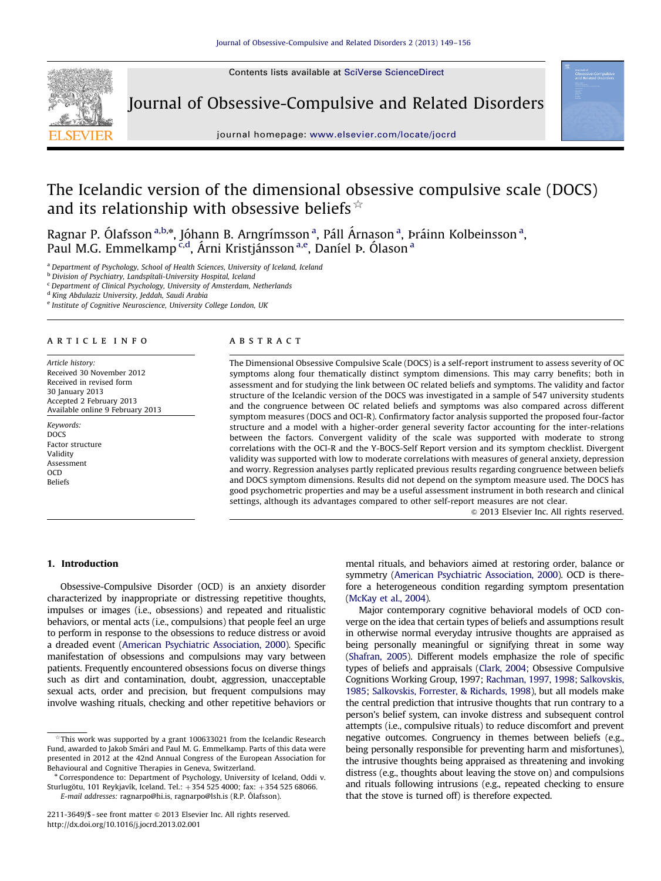Contents lists available at [SciVerse ScienceDirect](www.elsevier.com/locate/jocrd)



Journal of Obsessive-Compulsive and Related Disorders



journal homepage: <www.elsevier.com/locate/jocrd>

# The Icelandic version of the dimensional obsessive compulsive scale (DOCS) and its relationship with obsessive beliefs  $\overleftrightarrow{ }$

Ragnar P. Ólafsson <sup>a,b,</sup>\*, Jóhann B. Arngrímsson <sup>a</sup>, Páll Árnason <sup>a</sup>, Þráinn Kolbeinsson <sup>a</sup>, Paul M.G. Emmelkamp<sup>c,d</sup>, Árni Kristjánsson <sup>a,e</sup>, Daníel Þ. Ólason <sup>a</sup>

<sup>a</sup> Department of Psychology, School of Health Sciences, University of Iceland, Iceland

b Division of Psychiatry, Landspitali-University Hospital, Iceland

<sup>c</sup> Department of Clinical Psychology, University of Amsterdam, Netherlands

<sup>d</sup> King Abdulaziz University, Jeddah, Saudi Arabia

<sup>e</sup> Institute of Cognitive Neuroscience, University College London, UK

# article info

Article history: Received 30 November 2012 Received in revised form 30 January 2013 Accepted 2 February 2013 Available online 9 February 2013

Keywords: DOCS Factor structure Validity Assessment **OCD** Beliefs

# **ABSTRACT**

The Dimensional Obsessive Compulsive Scale (DOCS) is a self-report instrument to assess severity of OC symptoms along four thematically distinct symptom dimensions. This may carry benefits; both in assessment and for studying the link between OC related beliefs and symptoms. The validity and factor structure of the Icelandic version of the DOCS was investigated in a sample of 547 university students and the congruence between OC related beliefs and symptoms was also compared across different symptom measures (DOCS and OCI-R). Confirmatory factor analysis supported the proposed four-factor structure and a model with a higher-order general severity factor accounting for the inter-relations between the factors. Convergent validity of the scale was supported with moderate to strong correlations with the OCI-R and the Y-BOCS-Self Report version and its symptom checklist. Divergent validity was supported with low to moderate correlations with measures of general anxiety, depression and worry. Regression analyses partly replicated previous results regarding congruence between beliefs and DOCS symptom dimensions. Results did not depend on the symptom measure used. The DOCS has good psychometric properties and may be a useful assessment instrument in both research and clinical settings, although its advantages compared to other self-report measures are not clear.

 $\odot$  2013 Elsevier Inc. All rights reserved.

# 1. Introduction

Obsessive-Compulsive Disorder (OCD) is an anxiety disorder characterized by inappropriate or distressing repetitive thoughts, impulses or images (i.e., obsessions) and repeated and ritualistic behaviors, or mental acts (i.e., compulsions) that people feel an urge to perform in response to the obsessions to reduce distress or avoid a dreaded event [\(American Psychiatric Association, 2000](#page-6-0)). Specific manifestation of obsessions and compulsions may vary between patients. Frequently encountered obsessions focus on diverse things such as dirt and contamination, doubt, aggression, unacceptable sexual acts, order and precision, but frequent compulsions may involve washing rituals, checking and other repetitive behaviors or mental rituals, and behaviors aimed at restoring order, balance or symmetry ([American Psychiatric Association, 2000\)](#page-6-0). OCD is therefore a heterogeneous condition regarding symptom presentation [\(McKay et al., 2004\)](#page-6-0).

Major contemporary cognitive behavioral models of OCD converge on the idea that certain types of beliefs and assumptions result in otherwise normal everyday intrusive thoughts are appraised as being personally meaningful or signifying threat in some way [\(Shafran, 2005](#page-6-0)). Different models emphasize the role of specific types of beliefs and appraisals ([Clark, 2004](#page-6-0); Obsessive Compulsive Cognitions Working Group, 1997; [Rachman, 1997](#page-6-0), [1998;](#page-6-0) [Salkovskis,](#page-6-0) [1985](#page-6-0); [Salkovskis, Forrester,](#page-6-0) [& Richards, 1998](#page-6-0)), but all models make the central prediction that intrusive thoughts that run contrary to a person's belief system, can invoke distress and subsequent control attempts (i.e., compulsive rituals) to reduce discomfort and prevent negative outcomes. Congruency in themes between beliefs (e.g., being personally responsible for preventing harm and misfortunes), the intrusive thoughts being appraised as threatening and invoking distress (e.g., thoughts about leaving the stove on) and compulsions and rituals following intrusions (e.g., repeated checking to ensure that the stove is turned off) is therefore expected.

 $*$ This work was supported by a grant 100633021 from the Icelandic Research Fund, awarded to Jakob Smári and Paul M. G. Emmelkamp. Parts of this data were presented in 2012 at the 42nd Annual Congress of the European Association for Behavioural and Cognitive Therapies in Geneva, Switzerland.

<sup>\*</sup> Correspondence to: Department of Psychology, University of Iceland, Oddi v. Sturlugötu, 101 Reykjavík, Iceland. Tel.: +354 525 4000; fax: +354 525 68066.

E-mail addresses: [ragnarpo@hi.is,](mailto:ragnarpo@hi.is) ragnarpo@lsh.is (R.P. Ólafsson).

<sup>2211-3649/\$ -</sup> see front matter @ 2013 Elsevier Inc. All rights reserved. <http://dx.doi.org/10.1016/j.jocrd.2013.02.001>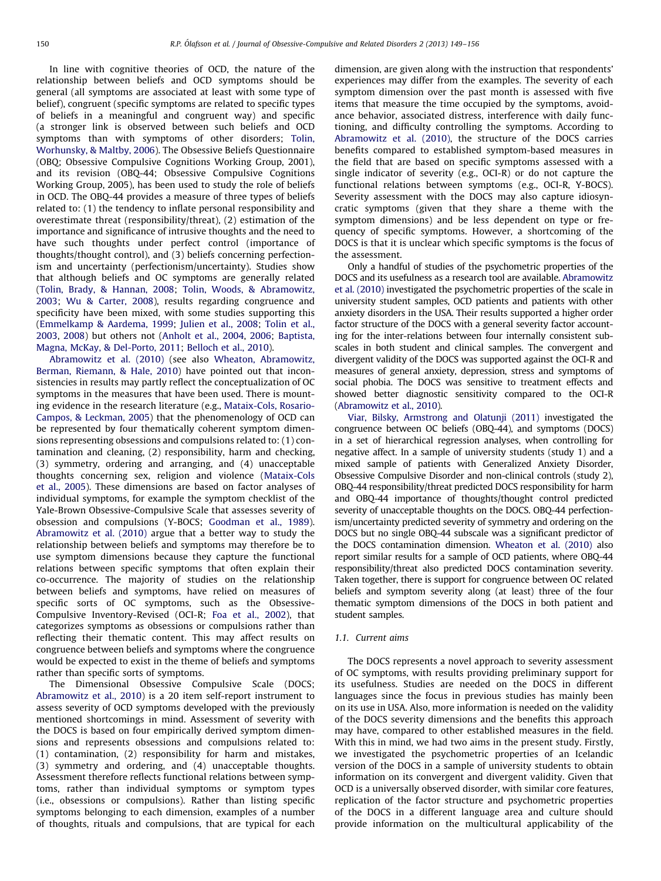In line with cognitive theories of OCD, the nature of the relationship between beliefs and OCD symptoms should be general (all symptoms are associated at least with some type of belief), congruent (specific symptoms are related to specific types of beliefs in a meaningful and congruent way) and specific (a stronger link is observed between such beliefs and OCD symptoms than with symptoms of other disorders; [Tolin,](#page-7-0) [Worhunsky,](#page-7-0) [& Maltby, 2006\)](#page-7-0). The Obsessive Beliefs Questionnaire (OBQ; Obsessive Compulsive Cognitions Working Group, 2001), and its revision (OBQ-44; Obsessive Compulsive Cognitions Working Group, 2005), has been used to study the role of beliefs in OCD. The OBQ-44 provides a measure of three types of beliefs related to: (1) the tendency to inflate personal responsibility and overestimate threat (responsibility/threat), (2) estimation of the importance and significance of intrusive thoughts and the need to have such thoughts under perfect control (importance of thoughts/thought control), and (3) beliefs concerning perfectionism and uncertainty (perfectionism/uncertainty). Studies show that although beliefs and OC symptoms are generally related ([Tolin, Brady, & Hannan, 2008](#page-7-0); [Tolin, Woods,](#page-7-0) & [Abramowitz,](#page-7-0) [2003;](#page-7-0) [Wu](#page-7-0) [& Carter, 2008](#page-7-0)), results regarding congruence and specificity have been mixed, with some studies supporting this ([Emmelkamp & Aardema, 1999](#page-6-0); [Julien et al., 2008;](#page-6-0) [Tolin et al.,](#page-7-0) [2003,](#page-7-0) [2008](#page-7-0)) but others not [\(Anholt et al., 2004,](#page-6-0) [2006](#page-6-0); [Baptista,](#page-6-0) [Magna, McKay, & Del-Porto, 2011;](#page-6-0) [Belloch et al., 2010](#page-6-0)).

[Abramowitz et al. \(2010\)](#page-6-0) (see also [Wheaton, Abramowitz,](#page-7-0) [Berman, Riemann,](#page-7-0) & [Hale, 2010](#page-7-0)) have pointed out that inconsistencies in results may partly reflect the conceptualization of OC symptoms in the measures that have been used. There is mounting evidence in the research literature (e.g., [Mataix-Cols, Rosario-](#page-6-0)[Campos, & Leckman, 2005\)](#page-6-0) that the phenomenology of OCD can be represented by four thematically coherent symptom dimensions representing obsessions and compulsions related to: (1) contamination and cleaning, (2) responsibility, harm and checking, (3) symmetry, ordering and arranging, and (4) unacceptable thoughts concerning sex, religion and violence ([Mataix-Cols](#page-6-0) [et al., 2005](#page-6-0)). These dimensions are based on factor analyses of individual symptoms, for example the symptom checklist of the Yale-Brown Obsessive-Compulsive Scale that assesses severity of obsession and compulsions (Y-BOCS; [Goodman et al., 1989\)](#page-6-0). [Abramowitz et al. \(2010\)](#page-6-0) argue that a better way to study the relationship between beliefs and symptoms may therefore be to use symptom dimensions because they capture the functional relations between specific symptoms that often explain their co-occurrence. The majority of studies on the relationship between beliefs and symptoms, have relied on measures of specific sorts of OC symptoms, such as the Obsessive-Compulsive Inventory-Revised (OCI-R; [Foa et al., 2002\)](#page-6-0), that categorizes symptoms as obsessions or compulsions rather than reflecting their thematic content. This may affect results on congruence between beliefs and symptoms where the congruence would be expected to exist in the theme of beliefs and symptoms rather than specific sorts of symptoms.

The Dimensional Obsessive Compulsive Scale (DOCS; [Abramowitz et al., 2010\)](#page-6-0) is a 20 item self-report instrument to assess severity of OCD symptoms developed with the previously mentioned shortcomings in mind. Assessment of severity with the DOCS is based on four empirically derived symptom dimensions and represents obsessions and compulsions related to: (1) contamination, (2) responsibility for harm and mistakes, (3) symmetry and ordering, and (4) unacceptable thoughts. Assessment therefore reflects functional relations between symptoms, rather than individual symptoms or symptom types (i.e., obsessions or compulsions). Rather than listing specific symptoms belonging to each dimension, examples of a number of thoughts, rituals and compulsions, that are typical for each dimension, are given along with the instruction that respondents' experiences may differ from the examples. The severity of each symptom dimension over the past month is assessed with five items that measure the time occupied by the symptoms, avoidance behavior, associated distress, interference with daily functioning, and difficulty controlling the symptoms. According to [Abramowitz et al. \(2010\),](#page-6-0) the structure of the DOCS carries benefits compared to established symptom-based measures in the field that are based on specific symptoms assessed with a single indicator of severity (e.g., OCI-R) or do not capture the functional relations between symptoms (e.g., OCI-R, Y-BOCS). Severity assessment with the DOCS may also capture idiosyncratic symptoms (given that they share a theme with the symptom dimensions) and be less dependent on type or frequency of specific symptoms. However, a shortcoming of the DOCS is that it is unclear which specific symptoms is the focus of the assessment.

Only a handful of studies of the psychometric properties of the DOCS and its usefulness as a research tool are available. [Abramowitz](#page-6-0) [et al. \(2010\)](#page-6-0) investigated the psychometric properties of the scale in university student samples, OCD patients and patients with other anxiety disorders in the USA. Their results supported a higher order factor structure of the DOCS with a general severity factor accounting for the inter-relations between four internally consistent subscales in both student and clinical samples. The convergent and divergent validity of the DOCS was supported against the OCI-R and measures of general anxiety, depression, stress and symptoms of social phobia. The DOCS was sensitive to treatment effects and showed better diagnostic sensitivity compared to the OCI-R ([Abramowitz et al., 2010](#page-6-0)).

[Viar, Bilsky, Armstrong and Olatunji \(2011\)](#page-7-0) investigated the congruence between OC beliefs (OBQ-44), and symptoms (DOCS) in a set of hierarchical regression analyses, when controlling for negative affect. In a sample of university students (study 1) and a mixed sample of patients with Generalized Anxiety Disorder, Obsessive Compulsive Disorder and non-clinical controls (study 2), OBQ-44 responsibility/threat predicted DOCS responsibility for harm and OBQ-44 importance of thoughts/thought control predicted severity of unacceptable thoughts on the DOCS. OBQ-44 perfectionism/uncertainty predicted severity of symmetry and ordering on the DOCS but no single OBQ-44 subscale was a significant predictor of the DOCS contamination dimension. [Wheaton et al. \(2010\)](#page-7-0) also report similar results for a sample of OCD patients, where OBQ-44 responsibility/threat also predicted DOCS contamination severity. Taken together, there is support for congruence between OC related beliefs and symptom severity along (at least) three of the four thematic symptom dimensions of the DOCS in both patient and student samples.

# 1.1. Current aims

The DOCS represents a novel approach to severity assessment of OC symptoms, with results providing preliminary support for its usefulness. Studies are needed on the DOCS in different languages since the focus in previous studies has mainly been on its use in USA. Also, more information is needed on the validity of the DOCS severity dimensions and the benefits this approach may have, compared to other established measures in the field. With this in mind, we had two aims in the present study. Firstly, we investigated the psychometric properties of an Icelandic version of the DOCS in a sample of university students to obtain information on its convergent and divergent validity. Given that OCD is a universally observed disorder, with similar core features, replication of the factor structure and psychometric properties of the DOCS in a different language area and culture should provide information on the multicultural applicability of the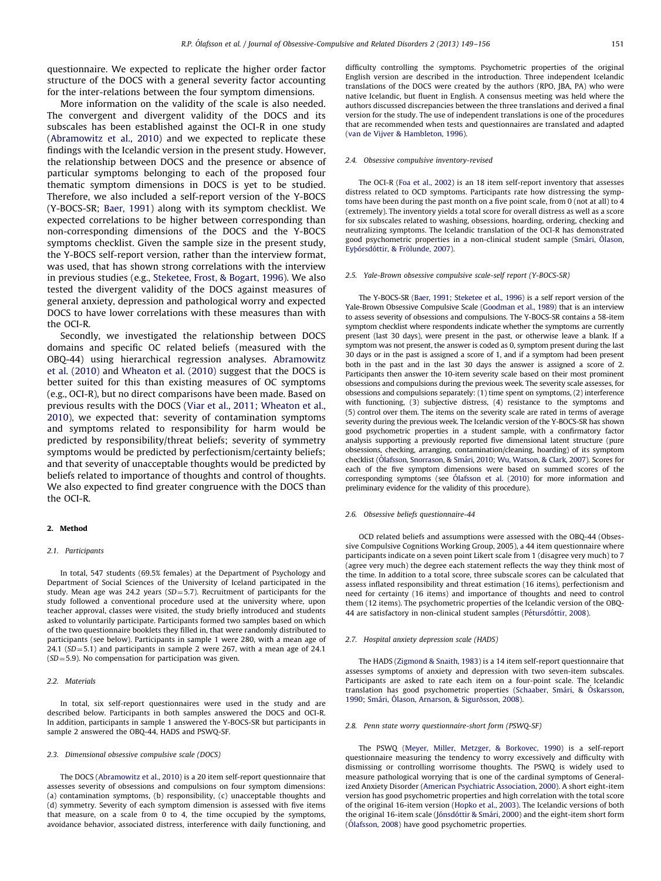<span id="page-2-0"></span>questionnaire. We expected to replicate the higher order factor structure of the DOCS with a general severity factor accounting for the inter-relations between the four symptom dimensions.

More information on the validity of the scale is also needed. The convergent and divergent validity of the DOCS and its subscales has been established against the OCI-R in one study ([Abramowitz et al., 2010\)](#page-6-0) and we expected to replicate these findings with the Icelandic version in the present study. However, the relationship between DOCS and the presence or absence of particular symptoms belonging to each of the proposed four thematic symptom dimensions in DOCS is yet to be studied. Therefore, we also included a self-report version of the Y-BOCS (Y-BOCS-SR; [Baer, 1991\)](#page-6-0) along with its symptom checklist. We expected correlations to be higher between corresponding than non-corresponding dimensions of the DOCS and the Y-BOCS symptoms checklist. Given the sample size in the present study, the Y-BOCS self-report version, rather than the interview format, was used, that has shown strong correlations with the interview in previous studies (e.g., [Steketee, Frost,](#page-6-0) [& Bogart, 1996](#page-6-0)). We also tested the divergent validity of the DOCS against measures of general anxiety, depression and pathological worry and expected DOCS to have lower correlations with these measures than with the OCI-R.

Secondly, we investigated the relationship between DOCS domains and specific OC related beliefs (measured with the OBQ-44) using hierarchical regression analyses. [Abramowitz](#page-6-0) [et al. \(2010\)](#page-6-0) and [Wheaton et al. \(2010\)](#page-7-0) suggest that the DOCS is better suited for this than existing measures of OC symptoms (e.g., OCI-R), but no direct comparisons have been made. Based on previous results with the DOCS ([Viar et al., 2011;](#page-7-0) [Wheaton et al.,](#page-7-0) [2010\)](#page-7-0), we expected that: severity of contamination symptoms and symptoms related to responsibility for harm would be predicted by responsibility/threat beliefs; severity of symmetry symptoms would be predicted by perfectionism/certainty beliefs; and that severity of unacceptable thoughts would be predicted by beliefs related to importance of thoughts and control of thoughts. We also expected to find greater congruence with the DOCS than the OCI-R.

# 2. Method

#### 2.1. Participants

In total, 547 students (69.5% females) at the Department of Psychology and Department of Social Sciences of the University of Iceland participated in the study. Mean age was 24.2 years ( $SD = 5.7$ ). Recruitment of participants for the study followed a conventional procedure used at the university where, upon teacher approval, classes were visited, the study briefly introduced and students asked to voluntarily participate. Participants formed two samples based on which of the two questionnaire booklets they filled in, that were randomly distributed to participants (see below). Participants in sample 1 were 280, with a mean age of 24.1 ( $SD = 5.1$ ) and participants in sample 2 were 267, with a mean age of 24.1  $(SD=5.9)$ . No compensation for participation was given.

#### 2.2. Materials

In total, six self-report questionnaires were used in the study and are described below. Participants in both samples answered the DOCS and OCI-R. In addition, participants in sample 1 answered the Y-BOCS-SR but participants in sample 2 answered the OBQ-44, HADS and PSWQ-SF.

#### 2.3. Dimensional obsessive compulsive scale (DOCS)

The DOCS ([Abramowitz et al., 2010\)](#page-6-0) is a 20 item self-report questionnaire that assesses severity of obsessions and compulsions on four symptom dimensions: (a) contamination symptoms, (b) responsibility, (c) unacceptable thoughts and (d) symmetry. Severity of each symptom dimension is assessed with five items that measure, on a scale from 0 to 4, the time occupied by the symptoms, avoidance behavior, associated distress, interference with daily functioning, and difficulty controlling the symptoms. Psychometric properties of the original English version are described in the introduction. Three independent Icelandic translations of the DOCS were created by the authors (RPO, JBA, PA) who were native Icelandic, but fluent in English. A consensus meeting was held where the authors discussed discrepancies between the three translations and derived a final version for the study. The use of independent translations is one of the procedures that are recommended when tests and questionnaires are translated and adapted [\(van de Vijver](#page-7-0) & [Hambleton, 1996](#page-7-0)).

#### 2.4. Obsessive compulsive inventory-revised

The OCI-R ([Foa et al., 2002](#page-6-0)) is an 18 item self-report inventory that assesses distress related to OCD symptoms. Participants rate how distressing the symptoms have been during the past month on a five point scale, from 0 (not at all) to 4 (extremely). The inventory yields a total score for overall distress as well as a score for six subscales related to washing, obsessions, hoarding, ordering, checking and neutralizing symptoms. The Icelandic translation of the OCI-R has demonstrated good psychometric properties in a non-clinical student sample (Smári, Ó[lason,](#page-6-0) [Ey](#page-6-0)þórsdóttir, & Frölunde, 2007).

#### 2.5. Yale-Brown obsessive compulsive scale-self report (Y-BOCS-SR)

The Y-BOCS-SR [\(Baer, 1991](#page-6-0); [Steketee et al., 1996](#page-6-0)) is a self report version of the Yale-Brown Obsessive Compulsive Scale [\(Goodman et al., 1989](#page-6-0)) that is an interview to assess severity of obsessions and compulsions. The Y-BOCS-SR contains a 58-item symptom checklist where respondents indicate whether the symptoms are currently present (last 30 days), were present in the past, or otherwise leave a blank. If a symptom was not present, the answer is coded as 0, symptom present during the last 30 days or in the past is assigned a score of 1, and if a symptom had been present both in the past and in the last 30 days the answer is assigned a score of 2. Participants then answer the 10-item severity scale based on their most prominent obsessions and compulsions during the previous week. The severity scale assesses, for obsessions and compulsions separately: (1) time spent on symptoms, (2) interference with functioning, (3) subjective distress, (4) resistance to the symptoms and (5) control over them. The items on the severity scale are rated in terms of average severity during the previous week. The Icelandic version of the Y-BOCS-SR has shown good psychometric properties in a student sample, with a confirmatory factor analysis supporting a previously reported five dimensional latent structure (pure obsessions, checking, arranging, contamination/cleaning, hoarding) of its symptom checklist (Ólafsson, Snorrason, & Smári, 2010; [Wu, Watson,](#page-7-0) & [Clark, 2007](#page-7-0)). Scores for each of the five symptom dimensions were based on summed scores of the corresponding symptoms (see Ó[lafsson et al. \(2010\)](#page-6-0) for more information and preliminary evidence for the validity of this procedure).

#### 2.6. Obsessive beliefs questionnaire-44

OCD related beliefs and assumptions were assessed with the OBQ-44 (Obsessive Compulsive Cognitions Working Group, 2005), a 44 item questionnaire where participants indicate on a seven point Likert scale from 1 (disagree very much) to 7 (agree very much) the degree each statement reflects the way they think most of the time. In addition to a total score, three subscale scores can be calculated that assess inflated responsibility and threat estimation (16 items), perfectionism and need for certainty (16 items) and importance of thoughts and need to control them (12 items). The psychometric properties of the Icelandic version of the OBQ-44 are satisfactory in non-clinical student samples (Pétursdóttir, 2008).

#### 2.7. Hospital anxiety depression scale (HADS)

The HADS [\(Zigmond & Snaith, 1983](#page-7-0)) is a 14 item self-report questionnaire that assesses symptoms of anxiety and depression with two seven-item subscales. Participants are asked to rate each item on a four-point scale. The Icelandic translation has good psychometric properties (Schaaber, Smári, & Ó[skarsson,](#page-6-0) [1990;](#page-6-0) Smári, Ó[lason, Arnarson,](#page-6-0) & [Sigur](#page-6-0)ð[sson, 2008](#page-6-0)).

# 2.8. Penn state worry questionnaire-short form (PSWQ-SF)

The PSWQ [\(Meyer, Miller, Metzger, & Borkovec, 1990\)](#page-6-0) is a self-report questionnaire measuring the tendency to worry excessively and difficulty with dismissing or controlling worrisome thoughts. The PSWQ is widely used to measure pathological worrying that is one of the cardinal symptoms of Generalized Anxiety Disorder ([American Psychiatric Association, 2000\)](#page-6-0). A short eight-item version has good psychometric properties and high correlation with the total score of the original 16-item version ([Hopko et al., 2003](#page-6-0)). The Icelandic versions of both the original 16-item scale (Jónsdóttir & Smá[ri, 2000\)](#page-6-0) and the eight-item short form (Ó[lafsson, 2008](#page-6-0)) have good psychometric properties.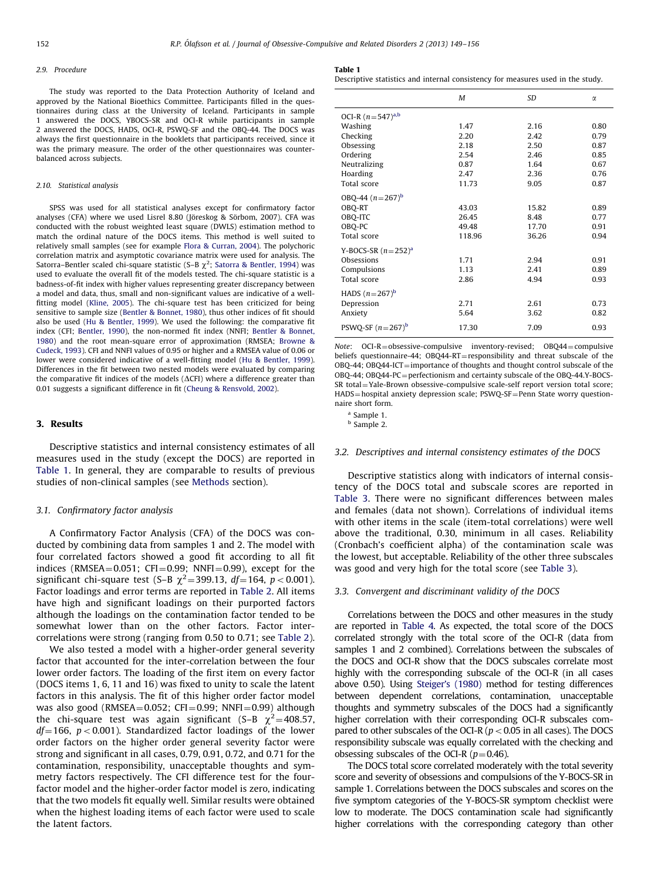# 2.9. Procedure

The study was reported to the Data Protection Authority of Iceland and approved by the National Bioethics Committee. Participants filled in the questionnaires during class at the University of Iceland. Participants in sample 1 answered the DOCS, YBOCS-SR and OCI-R while participants in sample 2 answered the DOCS, HADS, OCI-R, PSWQ-SF and the OBQ-44. The DOCS was always the first questionnaire in the booklets that participants received, since it was the primary measure. The order of the other questionnaires was counterbalanced across subjects.

# 2.10. Statistical analysis

SPSS was used for all statistical analyses except for confirmatory factor analyses (CFA) where we used Lisrel 8.80 (Jöreskog & Sörbom, 2007). CFA was conducted with the robust weighted least square (DWLS) estimation method to match the ordinal nature of the DOCS items. This method is well suited to relatively small samples (see for example [Flora & Curran, 2004](#page-6-0)). The polychoric correlation matrix and asymptotic covariance matrix were used for analysis. The [Satorra](#page-6-0)–Bentler scaled chi-square statistic (S–B  $\chi^2$ ; Satorra & [Bentler, 1994\)](#page-6-0) was used to evaluate the overall fit of the models tested. The chi-square statistic is a badness-of-fit index with higher values representing greater discrepancy between a model and data, thus, small and non-significant values are indicative of a wellfitting model [\(Kline, 2005\)](#page-6-0). The chi-square test has been criticized for being sensitive to sample size ([Bentler & Bonnet, 1980](#page-6-0)), thus other indices of fit should also be used ([Hu & Bentler, 1999](#page-6-0)). We used the following: the comparative fit index (CFI; [Bentler, 1990\)](#page-6-0), the non-normed fit index (NNFI; [Bentler & Bonnet,](#page-6-0) [1980](#page-6-0)) and the root mean-square error of approximation (RMSEA; [Browne](#page-6-0) & [Cudeck, 1993\)](#page-6-0). CFI and NNFI values of 0.95 or higher and a RMSEA value of 0.06 or lower were considered indicative of a well-fitting model [\(Hu](#page-6-0) & [Bentler, 1999\)](#page-6-0). Differences in the fit between two nested models were evaluated by comparing the comparative fit indices of the models ( $\Delta$ CFI) where a difference greater than 0.01 suggests a significant difference in fit [\(Cheung & Rensvold, 2002](#page-6-0)).

# 3. Results

Descriptive statistics and internal consistency estimates of all measures used in the study (except the DOCS) are reported in Table 1. In general, they are comparable to results of previous studies of non-clinical samples (see [Methods](#page-2-0) section).

# 3.1. Confirmatory factor analysis

A Confirmatory Factor Analysis (CFA) of the DOCS was conducted by combining data from samples 1 and 2. The model with four correlated factors showed a good fit according to all fit indices (RMSEA= $0.051$ ; CFI= $0.99$ ; NNFI= $0.99$ ), except for the significant chi-square test (S–B  $\chi^2$  = 399.13, df = 164, p < 0.001). Factor loadings and error terms are reported in [Table 2.](#page-4-0) All items have high and significant loadings on their purported factors although the loadings on the contamination factor tended to be somewhat lower than on the other factors. Factor intercorrelations were strong (ranging from 0.50 to 0.71; see [Table 2\)](#page-4-0).

We also tested a model with a higher-order general severity factor that accounted for the inter-correlation between the four lower order factors. The loading of the first item on every factor (DOCS items 1, 6, 11 and 16) was fixed to unity to scale the latent factors in this analysis. The fit of this higher order factor model was also good (RMSEA $=$ 0.052; CFI $=$ 0.99; NNFI $=$ 0.99) although the chi-square test was again significant (S–B  $\chi^2$  = 408.57,  $df=166$ ,  $p<0.001$ ). Standardized factor loadings of the lower order factors on the higher order general severity factor were strong and significant in all cases, 0.79, 0.91, 0.72, and 0.71 for the contamination, responsibility, unacceptable thoughts and symmetry factors respectively. The CFI difference test for the fourfactor model and the higher-order factor model is zero, indicating that the two models fit equally well. Similar results were obtained when the highest loading items of each factor were used to scale the latent factors.

#### Table 1

Descriptive statistics and internal consistency for measures used in the study.

|                         | M      | SD    | $\alpha$ |
|-------------------------|--------|-------|----------|
| OCI-R $(n=547)^{a,b}$   |        |       |          |
| Washing                 | 1.47   | 2.16  | 0.80     |
| Checking                | 2.20   | 2.42  | 0.79     |
| Obsessing               | 2.18   | 2.50  | 0.87     |
| Ordering                | 2.54   | 2.46  | 0.85     |
| Neutralizing            | 0.87   | 1.64  | 0.67     |
| Hoarding                | 2.47   | 2.36  | 0.76     |
| Total score             | 11.73  | 9.05  | 0.87     |
| OBQ-44 $(n=267)^b$      |        |       |          |
| OBO-RT                  | 43.03  | 15.82 | 0.89     |
| OBO-ITC                 | 26.45  | 8.48  | 0.77     |
| OBO-PC                  | 49.48  | 17.70 | 0.91     |
| Total score             | 118.96 | 36.26 | 0.94     |
| Y-BOCS-SR $(n=252)^{a}$ |        |       |          |
| Obsessions              | 1.71   | 2.94  | 0.91     |
| Compulsions             | 1.13   | 2.41  | 0.89     |
| Total score             | 2.86   | 4.94  | 0.93     |
| HADS $(n=267)^{b}$      |        |       |          |
| Depression              | 2.71   | 2.61  | 0.73     |
| Anxiety                 | 5.64   | 3.62  | 0.82     |
| PSWQ-SF $(n=267)^{b}$   | 17.30  | 7.09  | 0.93     |

Note:  $OCI-R = obsessive-compulsive$  inventory-revised;  $OBQ44 = compulsive$ beliefs questionnaire-44;  $OBQ44-RT$ =responsibility and threat subscale of the OBQ-44; OBQ44-ICT=importance of thoughts and thought control subscale of the OBQ-44; OBQ44-PC = perfectionism and certainty subscale of the OBQ-44.Y-BOCS-SR total=Yale-Brown obsessive-compulsive scale-self report version total score; HADS=hospital anxiety depression scale; PSWQ-SF=Penn State worry questionnaire short form.

<sup>a</sup> Sample 1.

<sup>b</sup> Sample 2.

#### 3.2. Descriptives and internal consistency estimates of the DOCS

Descriptive statistics along with indicators of internal consistency of the DOCS total and subscale scores are reported in [Table 3.](#page-4-0) There were no significant differences between males and females (data not shown). Correlations of individual items with other items in the scale (item-total correlations) were well above the traditional, 0.30, minimum in all cases. Reliability (Cronbach's coefficient alpha) of the contamination scale was the lowest, but acceptable. Reliability of the other three subscales was good and very high for the total score (see [Table 3\)](#page-4-0).

# 3.3. Convergent and discriminant validity of the DOCS

Correlations between the DOCS and other measures in the study are reported in [Table 4.](#page-4-0) As expected, the total score of the DOCS correlated strongly with the total score of the OCI-R (data from samples 1 and 2 combined). Correlations between the subscales of the DOCS and OCI-R show that the DOCS subscales correlate most highly with the corresponding subscale of the OCI-R (in all cases above 0.50). Using [Steiger's \(1980\)](#page-6-0) method for testing differences between dependent correlations, contamination, unacceptable thoughts and symmetry subscales of the DOCS had a significantly higher correlation with their corresponding OCI-R subscales compared to other subscales of the OCI-R ( $p < 0.05$  in all cases). The DOCS responsibility subscale was equally correlated with the checking and obsessing subscales of the OCI-R ( $p=0.46$ ).

The DOCS total score correlated moderately with the total severity score and severity of obsessions and compulsions of the Y-BOCS-SR in sample 1. Correlations between the DOCS subscales and scores on the five symptom categories of the Y-BOCS-SR symptom checklist were low to moderate. The DOCS contamination scale had significantly higher correlations with the corresponding category than other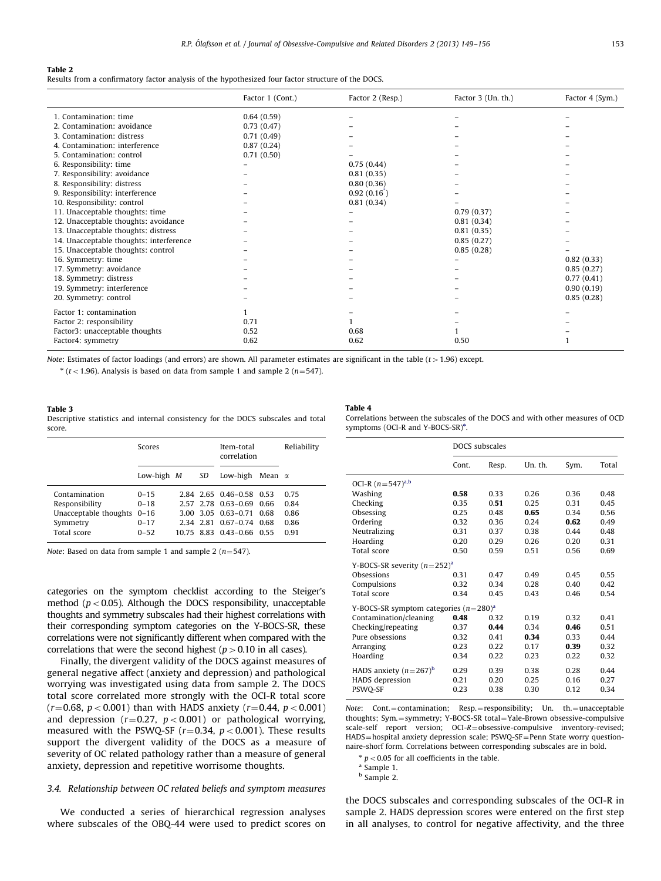#### <span id="page-4-0"></span>Table 2

Results from a confirmatory factor analysis of the hypothesized four factor structure of the DOCS.

|                                         | Factor 1 (Cont.) | Factor 2 (Resp.)        | Factor 3 (Un. th.) | Factor 4 (Sym.) |
|-----------------------------------------|------------------|-------------------------|--------------------|-----------------|
| 1. Contamination: time                  | 0.64(0.59)       |                         |                    |                 |
| 2. Contamination: avoidance             | 0.73(0.47)       |                         |                    |                 |
| 3. Contamination: distress              | 0.71(0.49)       |                         |                    |                 |
| 4. Contamination: interference          | 0.87(0.24)       |                         |                    |                 |
| 5. Contamination: control               | 0.71(0.50)       |                         |                    |                 |
| 6. Responsibility: time                 |                  | 0.75(0.44)              |                    |                 |
| 7. Responsibility: avoidance            |                  | 0.81(0.35)              |                    |                 |
| 8. Responsibility: distress             |                  | 0.80(0.36)              |                    |                 |
| 9. Responsibility: interference         |                  | $0.92(0.16^{^{\circ}})$ |                    |                 |
| 10. Responsibility: control             |                  | 0.81(0.34)              |                    |                 |
| 11. Unacceptable thoughts: time         |                  |                         | 0.79(0.37)         |                 |
| 12. Unacceptable thoughts: avoidance    |                  |                         | 0.81(0.34)         |                 |
| 13. Unacceptable thoughts: distress     |                  |                         | 0.81(0.35)         |                 |
| 14. Unacceptable thoughts: interference |                  |                         | 0.85(0.27)         |                 |
| 15. Unacceptable thoughts: control      |                  |                         | 0.85(0.28)         |                 |
| 16. Symmetry: time                      |                  |                         |                    | 0.82(0.33)      |
| 17. Symmetry: avoidance                 |                  |                         |                    | 0.85(0.27)      |
| 18. Symmetry: distress                  |                  |                         |                    | 0.77(0.41)      |
| 19. Symmetry: interference              |                  |                         |                    | 0.90(0.19)      |
| 20. Symmetry: control                   |                  |                         |                    | 0.85(0.28)      |
| Factor 1: contamination                 |                  |                         |                    |                 |
| Factor 2: responsibility                | 0.71             |                         |                    |                 |
| Factor3: unacceptable thoughts          | 0.52             | 0.68                    |                    |                 |
| Factor4: symmetry                       | 0.62             | 0.62                    | 0.50               |                 |

Note: Estimates of factor loadings (and errors) are shown. All parameter estimates are significant in the table ( $t > 1.96$ ) except.

 $*(t < 1.96)$ . Analysis is based on data from sample 1 and sample 2 (n=547).

#### Table 3

Descriptive statistics and internal consistency for the DOCS subscales and total score.

|                       | Scores       |  | Item-total<br>correlation |                          | Reliability   |      |
|-----------------------|--------------|--|---------------------------|--------------------------|---------------|------|
|                       | Low-high $M$ |  | SD                        | Low-high                 | Mean $\alpha$ |      |
| Contamination         | $0 - 15$     |  |                           | 2.84 2.65 0.46-0.58 0.53 |               | 0.75 |
| Responsibility        | $0 - 18$     |  |                           | 2.57 2.78 0.63-0.69      | 0.66          | 0.84 |
| Unacceptable thoughts | $0 - 16$     |  |                           | 3.00 3.05 0.63-0.71      | 0.68          | 0.86 |
| Symmetry              | $0 - 17$     |  |                           | 2.34 2.81 0.67-0.74 0.68 |               | 0.86 |
| Total score           | $0 - 52$     |  |                           | 10.75 8.83 0.43-0.66     | O 55          | 0.91 |

Note: Based on data from sample 1 and sample 2 ( $n=547$ ).

categories on the symptom checklist according to the Steiger's method ( $p < 0.05$ ). Although the DOCS responsibility, unacceptable thoughts and symmetry subscales had their highest correlations with their corresponding symptom categories on the Y-BOCS-SR, these correlations were not significantly different when compared with the correlations that were the second highest ( $p > 0.10$  in all cases).

Finally, the divergent validity of the DOCS against measures of general negative affect (anxiety and depression) and pathological worrying was investigated using data from sample 2. The DOCS total score correlated more strongly with the OCI-R total score  $(r=0.68, p<0.001)$  than with HADS anxiety  $(r=0.44, p<0.001)$ and depression ( $r=0.27$ ,  $p<0.001$ ) or pathological worrying, measured with the PSWQ-SF ( $r=0.34$ ,  $p<0.001$ ). These results support the divergent validity of the DOCS as a measure of severity of OC related pathology rather than a measure of general anxiety, depression and repetitive worrisome thoughts.

# 3.4. Relationship between OC related beliefs and symptom measures

We conducted a series of hierarchical regression analyses where subscales of the OBQ-44 were used to predict scores on

#### Table 4

Correlations between the subscales of the DOCS and with other measures of OCD symptoms (OCI-R and Y-BOCS-SR)\*.

|                                            | DOCS subscales |       |         |      |       |
|--------------------------------------------|----------------|-------|---------|------|-------|
|                                            | Cont.          | Resp. | Un. th. | Sym. | Total |
| OCI-R $(n=547)^{a,b}$                      |                |       |         |      |       |
| Washing                                    | 0.58           | 0.33  | 0.26    | 0.36 | 0.48  |
| Checking                                   | 0.35           | 0.51  | 0.25    | 0.31 | 0.45  |
| Obsessing                                  | 0.25           | 0.48  | 0.65    | 0.34 | 0.56  |
| Ordering                                   | 0.32           | 0.36  | 0.24    | 0.62 | 0.49  |
| Neutralizing                               | 0.31           | 0.37  | 0.38    | 0.44 | 0.48  |
| Hoarding                                   | 0.20           | 0.29  | 0.26    | 0.20 | 0.31  |
| Total score                                | 0.50           | 0.59  | 0.51    | 0.56 | 0.69  |
| Y-BOCS-SR severity $(n=252)^{d}$           |                |       |         |      |       |
| Obsessions                                 | 0.31           | 0.47  | 0.49    | 0.45 | 0.55  |
| Compulsions                                | 0.32           | 0.34  | 0.28    | 0.40 | 0.42  |
| Total score                                | 0.34           | 0.45  | 0.43    | 0.46 | 0.54  |
| Y-BOCS-SR symptom categories $(n=280)^{d}$ |                |       |         |      |       |
| Contamination/cleaning                     | 0.48           | 0.32  | 0.19    | 0.32 | 0.41  |
| Checking/repeating                         | 0.37           | 0.44  | 0.34    | 0.46 | 0.51  |
| Pure obsessions                            | 0.32           | 0.41  | 0.34    | 0.33 | 0.44  |
| Arranging                                  | 0.23           | 0.22  | 0.17    | 0.39 | 0.32  |
| Hoarding                                   | 0.34           | 0.22  | 0.23    | 0.22 | 0.32  |
| HADS anxiety $(n=267)^b$                   | 0.29           | 0.39  | 0.38    | 0.28 | 0.44  |
| HADS depression                            | 0.21           | 0.20  | 0.25    | 0.16 | 0.27  |
| PSWQ-SF                                    | 0.23           | 0.38  | 0.30    | 0.12 | 0.34  |
|                                            |                |       |         |      |       |

Note: Cont. $=$ contamination; Resp. $=$ responsibility; Un. th. $=$ unacceptable thoughts; Sym.=symmetry; Y-BOCS-SR total=Yale-Brown obsessive-compulsive scale-self report version; OCI-R=obsessive-compulsive inventory-revised; HADS=hospital anxiety depression scale; PSWQ-SF=Penn State worry questionnaire-shorf form. Correlations between corresponding subscales are in bold.

 $n < 0.05$  for all coefficients in the table.

Sample 1.

<sup>b</sup> Sample 2.

the DOCS subscales and corresponding subscales of the OCI-R in sample 2. HADS depression scores were entered on the first step in all analyses, to control for negative affectivity, and the three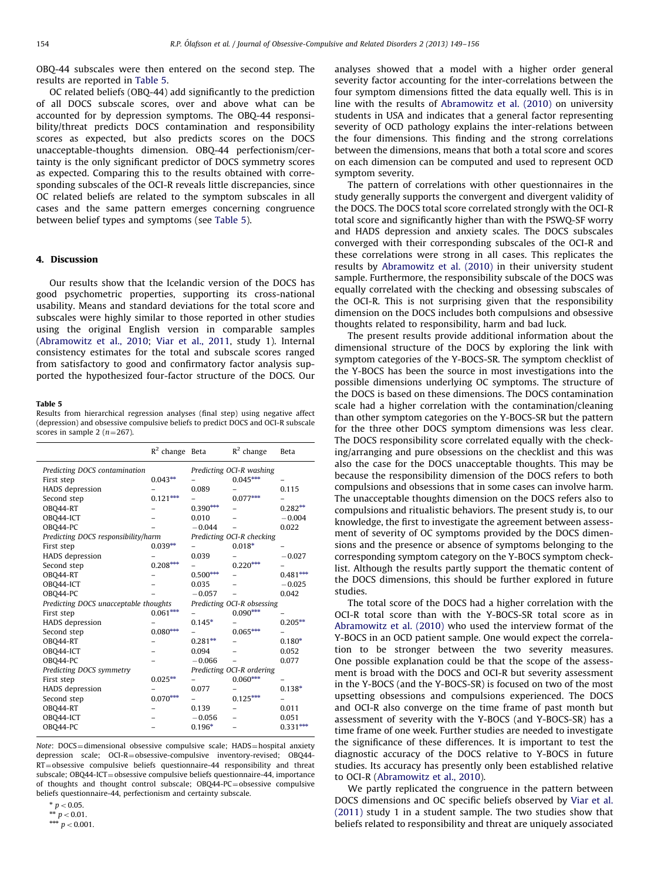OBQ-44 subscales were then entered on the second step. The results are reported in Table 5.

OC related beliefs (OBQ-44) add significantly to the prediction of all DOCS subscale scores, over and above what can be accounted for by depression symptoms. The OBQ-44 responsibility/threat predicts DOCS contamination and responsibility scores as expected, but also predicts scores on the DOCS unacceptable-thoughts dimension. OBQ-44 perfectionism/certainty is the only significant predictor of DOCS symmetry scores as expected. Comparing this to the results obtained with corresponding subscales of the OCI-R reveals little discrepancies, since OC related beliefs are related to the symptom subscales in all cases and the same pattern emerges concerning congruence between belief types and symptoms (see Table 5).

# 4. Discussion

Our results show that the Icelandic version of the DOCS has good psychometric properties, supporting its cross-national usability. Means and standard deviations for the total score and subscales were highly similar to those reported in other studies using the original English version in comparable samples ([Abramowitz et al., 2010](#page-6-0); [Viar et al., 2011](#page-7-0), study 1). Internal consistency estimates for the total and subscale scores ranged from satisfactory to good and confirmatory factor analysis supported the hypothesized four-factor structure of the DOCS. Our

#### Table 5

Results from hierarchical regression analyses (final step) using negative affect (depression) and obsessive compulsive beliefs to predict DOCS and OCI-R subscale scores in sample 2 ( $n=267$ ).

|                                       |                            | $R2$ change Beta          | $R^2$ change              | <b>Beta</b> |  |  |
|---------------------------------------|----------------------------|---------------------------|---------------------------|-------------|--|--|
| Predicting DOCS contamination         |                            | Predicting OCI-R washing  |                           |             |  |  |
| First step                            | $0.043***$                 |                           | $0.045***$                |             |  |  |
| HADS depression                       |                            | 0.089                     |                           | 0.115       |  |  |
| Second step                           | $0.121***$                 |                           | $0.077***$                |             |  |  |
| OBO44-RT                              |                            | $0.390***$                |                           | $0.282**$   |  |  |
| OBQ44-ICT                             |                            | 0.010                     |                           | $-0.004$    |  |  |
| OBO44-PC                              |                            | $-0.044$                  |                           | 0.022       |  |  |
| Predicting DOCS responsibility/harm   |                            |                           | Predicting OCI-R checking |             |  |  |
| First step                            | $0.039***$                 |                           | $0.018*$                  |             |  |  |
| HADS depression                       |                            | 0.039                     |                           | $-0.027$    |  |  |
| Second step                           | $0.208***$                 |                           | $0.220***$                |             |  |  |
| OBO44-RT                              |                            | $0.500***$                |                           | $0.481***$  |  |  |
| OBQ44-ICT                             |                            | 0.035                     |                           | $-0.025$    |  |  |
| OBO44-PC                              |                            | $-0.057$                  |                           | 0.042       |  |  |
| Predicting DOCS unacceptable thoughts | Predicting OCI-R obsessing |                           |                           |             |  |  |
| First step                            | $0.061***$                 |                           | $0.090***$                |             |  |  |
| <b>HADS</b> depression                |                            | $0.145*$                  |                           | $0.205***$  |  |  |
| Second step                           | $0.080***$                 |                           | $0.065***$                |             |  |  |
| OBQ44-RT                              |                            | $0.281***$                |                           | $0.180*$    |  |  |
| OBQ44-ICT                             |                            | 0.094                     |                           | 0.052       |  |  |
| OBO44-PC                              |                            | $-0.066$                  |                           | 0.077       |  |  |
| Predicting DOCS symmetry              |                            | Predicting OCI-R ordering |                           |             |  |  |
| First step                            | $0.025***$                 |                           | $0.060***$                |             |  |  |
| <b>HADS</b> depression                |                            | 0.077                     |                           | $0.138*$    |  |  |
| Second step                           | $0.070***$                 |                           | $0.125***$                |             |  |  |
| OBQ44-RT                              |                            | 0.139                     |                           | 0.011       |  |  |
| OBQ44-ICT                             |                            | $-0.056$                  |                           | 0.051       |  |  |
| OBO44-PC                              |                            | $0.196*$                  |                           | $0.331***$  |  |  |

Note: DOCS=dimensional obsessive compulsive scale; HADS=hospital anxiety depression scale:  $OCI-R =$ obsessive-compulsive inventory-revised:  $OBO44-$ RT=obsessive compulsive beliefs questionnaire-44 responsibility and threat subscale; OBQ44-ICT=obsessive compulsive beliefs questionnaire-44, importance of thoughts and thought control subscale;  $OBQ44-PC=$  obsessive compulsive beliefs questionnaire-44, perfectionism and certainty subscale.

\*  $p < 0.05$ .<br>\*\*  $p < 0.01$ .<br>\*\*  $p < 0.001$ .

analyses showed that a model with a higher order general severity factor accounting for the inter-correlations between the four symptom dimensions fitted the data equally well. This is in line with the results of [Abramowitz et al. \(2010\)](#page-6-0) on university students in USA and indicates that a general factor representing severity of OCD pathology explains the inter-relations between the four dimensions. This finding and the strong correlations between the dimensions, means that both a total score and scores on each dimension can be computed and used to represent OCD symptom severity.

The pattern of correlations with other questionnaires in the study generally supports the convergent and divergent validity of the DOCS. The DOCS total score correlated strongly with the OCI-R total score and significantly higher than with the PSWQ-SF worry and HADS depression and anxiety scales. The DOCS subscales converged with their corresponding subscales of the OCI-R and these correlations were strong in all cases. This replicates the results by [Abramowitz et al. \(2010\)](#page-6-0) in their university student sample. Furthermore, the responsibility subscale of the DOCS was equally correlated with the checking and obsessing subscales of the OCI-R. This is not surprising given that the responsibility dimension on the DOCS includes both compulsions and obsessive thoughts related to responsibility, harm and bad luck.

The present results provide additional information about the dimensional structure of the DOCS by exploring the link with symptom categories of the Y-BOCS-SR. The symptom checklist of the Y-BOCS has been the source in most investigations into the possible dimensions underlying OC symptoms. The structure of the DOCS is based on these dimensions. The DOCS contamination scale had a higher correlation with the contamination/cleaning than other symptom categories on the Y-BOCS-SR but the pattern for the three other DOCS symptom dimensions was less clear. The DOCS responsibility score correlated equally with the checking/arranging and pure obsessions on the checklist and this was also the case for the DOCS unacceptable thoughts. This may be because the responsibility dimension of the DOCS refers to both compulsions and obsessions that in some cases can involve harm. The unacceptable thoughts dimension on the DOCS refers also to compulsions and ritualistic behaviors. The present study is, to our knowledge, the first to investigate the agreement between assessment of severity of OC symptoms provided by the DOCS dimensions and the presence or absence of symptoms belonging to the corresponding symptom category on the Y-BOCS symptom checklist. Although the results partly support the thematic content of the DOCS dimensions, this should be further explored in future studies.

The total score of the DOCS had a higher correlation with the OCI-R total score than with the Y-BOCS-SR total score as in [Abramowitz et al. \(2010\)](#page-6-0) who used the interview format of the Y-BOCS in an OCD patient sample. One would expect the correlation to be stronger between the two severity measures. One possible explanation could be that the scope of the assessment is broad with the DOCS and OCI-R but severity assessment in the Y-BOCS (and the Y-BOCS-SR) is focused on two of the most upsetting obsessions and compulsions experienced. The DOCS and OCI-R also converge on the time frame of past month but assessment of severity with the Y-BOCS (and Y-BOCS-SR) has a time frame of one week. Further studies are needed to investigate the significance of these differences. It is important to test the diagnostic accuracy of the DOCS relative to Y-BOCS in future studies. Its accuracy has presently only been established relative to OCI-R [\(Abramowitz et al., 2010\)](#page-6-0).

We partly replicated the congruence in the pattern between DOCS dimensions and OC specific beliefs observed by [Viar et al.](#page-7-0) [\(2011\)](#page-7-0) study 1 in a student sample. The two studies show that beliefs related to responsibility and threat are uniquely associated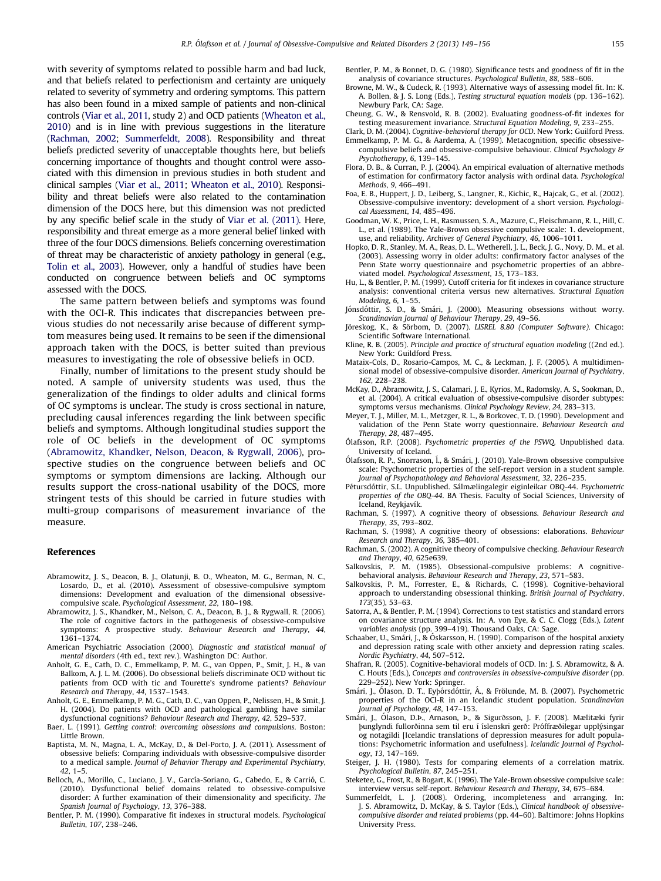<span id="page-6-0"></span>with severity of symptoms related to possible harm and bad luck, and that beliefs related to perfectionism and certainty are uniquely related to severity of symmetry and ordering symptoms. This pattern has also been found in a mixed sample of patients and non-clinical controls [\(Viar et al., 2011,](#page-7-0) study 2) and OCD patients ([Wheaton et al.,](#page-7-0) [2010\)](#page-7-0) and is in line with previous suggestions in the literature (Rachman, 2002; Summerfeldt, 2008). Responsibility and threat beliefs predicted severity of unacceptable thoughts here, but beliefs concerning importance of thoughts and thought control were associated with this dimension in previous studies in both student and clinical samples ([Viar et al., 2011](#page-7-0); [Wheaton et al., 2010](#page-7-0)). Responsibility and threat beliefs were also related to the contamination dimension of the DOCS here, but this dimension was not predicted by any specific belief scale in the study of [Viar et al. \(2011\)](#page-7-0). Here, responsibility and threat emerge as a more general belief linked with three of the four DOCS dimensions. Beliefs concerning overestimation of threat may be characteristic of anxiety pathology in general (e.g., [Tolin et al., 2003\)](#page-7-0). However, only a handful of studies have been conducted on congruence between beliefs and OC symptoms assessed with the DOCS.

The same pattern between beliefs and symptoms was found with the OCI-R. This indicates that discrepancies between previous studies do not necessarily arise because of different symptom measures being used. It remains to be seen if the dimensional approach taken with the DOCS, is better suited than previous measures to investigating the role of obsessive beliefs in OCD.

Finally, number of limitations to the present study should be noted. A sample of university students was used, thus the generalization of the findings to older adults and clinical forms of OC symptoms is unclear. The study is cross sectional in nature, precluding causal inferences regarding the link between specific beliefs and symptoms. Although longitudinal studies support the role of OC beliefs in the development of OC symptoms (Abramowitz, Khandker, Nelson, Deacon, & Rygwall, 2006), prospective studies on the congruence between beliefs and OC symptoms or symptom dimensions are lacking. Although our results support the cross-national usability of the DOCS, more stringent tests of this should be carried in future studies with multi-group comparisons of measurement invariance of the measure.

#### References

- Abramowitz, J. S., Deacon, B. J., Olatunji, B. O., Wheaton, M. G., Berman, N. C., Losardo, D., et al. (2010). Assessment of obsessive-compulsive symptom dimensions: Development and evaluation of the dimensional obsessivecompulsive scale. Psychological Assessment, 22, 180–198.
- Abramowitz, J. S., Khandker, M., Nelson, C. A., Deacon, B. J., & Rygwall, R. (2006). The role of cognitive factors in the pathogenesis of obsessive-compulsive symptoms: A prospective study. Behaviour Research and Therapy, 44, 1361–1374.
- American Psychiatric Association (2000). Diagnostic and statistical manual of mental disorders (4th ed., text rev.). Washington DC: Author.
- Anholt, G. E., Cath, D. C., Emmelkamp, P. M. G., van Oppen, P., Smit, J. H., & van Balkom, A. J. L. M. (2006). Do obsessional beliefs discriminate OCD without tic patients from OCD with tic and Tourette's syndrome patients? Behaviour Research and Therapy, 44, 1537–1543.
- Anholt, G. E., Emmelkamp, P. M. G., Cath, D. C., van Oppen, P., Nelissen, H., & Smit, J. H. (2004). Do patients with OCD and pathological gambling have similar dysfunctional cognitions? Behaviour Research and Therapy, 42, 529–537.
- Baer, L. (1991). Getting control: overcoming obsessions and compulsions. Boston: Little Brown.
- Baptista, M. N., Magna, L. A., McKay, D., & Del-Porto, J. A. (2011). Assessment of obsessive beliefs: Comparing individuals with obsessive-compulsive disorder to a medical sample. Journal of Behavior Therapy and Experimental Psychiatry, 42, 1–5.
- Belloch, A., Morillo, C., Luciano, J. V., García-Soriano, G., Cabedo, E., & Carrió, C. (2010). Dysfunctional belief domains related to obsessive-compulsive disorder: A further examination of their dimensionality and specificity. The Spanish Journal of Psychology, 13, 376–388.
- Bentler, P. M. (1990). Comparative fit indexes in structural models. Psychological Bulletin, 107, 238–246.
- Bentler, P. M., & Bonnet, D. G. (1980). Significance tests and goodness of fit in the analysis of covariance structures. Psychological Bulletin, 88, 588–606.
- Browne, M. W., & Cudeck, R. (1993). Alternative ways of assessing model fit. In: K. A. Bollen, & J. S. Long (Eds.), Testing structural equation models (pp. 136–162). Newbury Park, CA: Sage.
- Cheung, G. W., & Rensvold, R. B. (2002). Evaluating goodness-of-fit indexes for testing measurement invariance. Structural Equation Modeling, 9, 233–255.
- Clark, D. M. (2004). Cognitive-behavioral therapy for OCD. New York: Guilford Press. Emmelkamp, P. M. G., & Aardema, A. (1999). Metacognition, specific obsessivecompulsive beliefs and obsessive-compulsive behaviour. Clinical Psychology & Psychotherapy, 6, 139–145.
- Flora, D. B., & Curran, P. J. (2004). An empirical evaluation of alternative methods of estimation for confirmatory factor analysis with ordinal data. Psychological Methods, 9, 466–491.
- Foa, E. B., Huppert, J. D., Leiberg, S., Langner, R., Kichic, R., Hajcak, G., et al. (2002). Obsessive-compulsive inventory: development of a short version. Psychological Assessment, 14, 485–496.
- Goodman, W. K., Price, L. H., Rasmussen, S. A., Mazure, C., Fleischmann, R. L., Hill, C. L., et al. (1989). The Yale-Brown obsessive compulsive scale: 1. development, use, and reliability. Archives of General Psychiatry, 46, 1006–1011.
- Hopko, D. R., Stanley, M. A., Reas, D. L., Wetherell, J. L., Beck, J. G., Novy, D. M., et al. (2003). Assessing worry in older adults: confirmatory factor analyses of the Penn State worry questionnaire and psychometric properties of an abbreviated model. Psychological Assessment, 15, 173–183.
- Hu, L., & Bentler, P. M. (1999). Cutoff criteria for fit indexes in covariance structure analysis: conventional criteria versus new alternatives. Structural Equation Modeling, 6, 1–55.
- Jónsdóttir, S. D., & Smári, J. (2000). Measuring obsessions without worry.
- Scandinavian Journal of Behaviour Therapy, 29, 49–56.<br>Jöreskog, K., & Sörbom, D. (2007). LISREL 8.80 (Computer Software). Chicago: Scientific Software International.
- Kline, R. B. (2005). Principle and practice of structural equation modeling ((2nd ed.). New York: Guildford Press.
- Mataix-Cols, D., Rosario-Campos, M. C., & Leckman, J. F. (2005). A multidimensional model of obsessive-compulsive disorder. American Journal of Psychiatry, 162, 228–238.
- McKay, D., Abramowitz, J. S., Calamari, J. E., Kyrios, M., Radomsky, A. S., Sookman, D., et al. (2004). A critical evaluation of obsessive-compulsive disorder subtypes: symptoms versus mechanisms. Clinical Psychology Review, 24, 283–313.
- Meyer, T. J., Miller, M. L., Metzger, R. L., & Borkovec, T. D. (1990). Development and validation of the Penn State worry questionnaire. Behaviour Research and Therapy, 28, 487–495.
- Ólafsson, R.P. (2008). Psychometric properties of the PSWQ. Unpublished data. University of Iceland.
- Ólafsson, R. P., Snorrason, Í., & Smári, J. (2010). Yale-Brown obsessive compulsive scale: Psychometric properties of the self-report version in a student sample. Journal of Psychopathology and Behavioral Assessment, 32, 226–235.
- Pétursdóttir, S.L. Unpublished. Sálmælingalegir eiginleikar OBQ-44. Psychometric properties of the OBQ-44. BA Thesis. Faculty of Social Sciences, University of Iceland, Reykjavík.
- Rachman, S. (1997). A cognitive theory of obsessions. Behaviour Research and Therapy, 35, 793–802.
- Rachman, S. (1998). A cognitive theory of obsessions: elaborations. Behaviour Research and Therapy, 36, 385–401.
- Rachman, S. (2002). A cognitive theory of compulsive checking. Behaviour Research and Therapy, 40, 625e639.
- Salkovskis, P. M. (1985). Obsessional-compulsive problems: A cognitivebehavioral analysis. Behaviour Research and Therapy, 23, 571–583.
- Salkovskis, P. M., Forrester, E., & Richards, C. (1998). Cognitive-behavioral approach to understanding obsessional thinking. British Journal of Psychiatry, 173(35), 53–63.
- Satorra, A., & Bentler, P. M. (1994). Corrections to test statistics and standard errors on covariance structure analysis. In: A. von Eye, & C. C. Clogg (Eds.), Latent variables analysis (pp. 399–419). Thousand Oaks, CA: Sage.
- Schaaber, U., Smári, J., & Óskarsson, H. (1990). Comparison of the hospital anxiety and depression rating scale with other anxiety and depression rating scales. Nordic Psychiatry, 44, 507–512.
- Shafran, R. (2005). Cognitive-behavioral models of OCD. In: J. S. Abramowitz, & A. C. Houts (Eds.), Concepts and controversies in obsessive-compulsive disorder (pp. 229–252). New York: Springer.
- Smári, J., Ólason, D. T., Eyþórsdóttir, Á., & Frölunde, M. B. (2007). Psychometric properties of the OCI-R in an Icelandic student population. Scandinavian Journal of Psychology, 48, 147–153.
- Smári, J., Ólason, D.Þ., Arnason, Þ., & Sigurðsson, J. F. (2008). Mælitæki fyrir þunglyndi fullorðinna sem til eru í íslenskri gerð: Próffræðilegar upplýsingar og notagildi [Icelandic translations of depression measures for adult populations: Psychometric information and usefulness]. Icelandic Journal of Psychology, 13, 147–169.
- Steiger, J. H. (1980). Tests for comparing elements of a correlation matrix. Psychological Bulletin, 87, 245–251.
- Steketee, G., Frost, R., & Bogart, K. (1996). The Yale-Brown obsessive compulsive scale: interview versus self-report. Behaviour Research and Therapy, 34, 675–684.
- Summerfeldt, L. J. (2008). Ordering, incompleteness and arranging. In: J. S. Abramowitz, D. McKay, & S. Taylor (Eds.), Clinical handbook of obsessivecompulsive disorder and related problems (pp. 44–60). Baltimore: Johns Hopkins University Press.